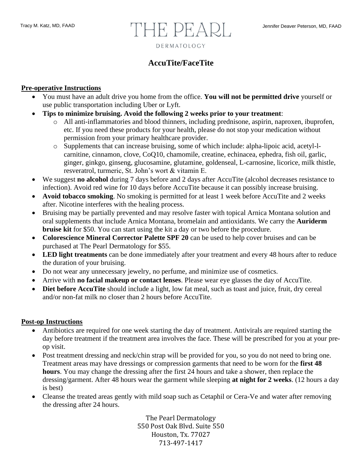# Tracy M. Katz, MD, FAAD **Jennifer Deaver Peterson, MD, FAAD** Jennifer Deaver Peterson, MD, FAAD DERMATOLOGY

## **AccuTite/FaceTite**

#### **Pre-operative Instructions**

- You must have an adult drive you home from the office. **You will not be permitted drive** yourself or use public transportation including Uber or Lyft.
- **Tips to minimize bruising. Avoid the following 2 weeks prior to your treatment**:
	- o All anti-inflammatories and blood thinners, including prednisone, aspirin, naproxen, ibuprofen, etc. If you need these products for your health, please do not stop your medication without permission from your primary healthcare provider.
	- o Supplements that can increase bruising, some of which include: alpha-lipoic acid, acetyl-lcarnitine, cinnamon, clove, CoQ10, chamomile, creatine, echinacea, ephedra, fish oil, garlic, ginger, ginkgo, ginseng, glucosamine, glutamine, goldenseal, L-carnosine, licorice, milk thistle, resveratrol, turmeric, St. John's wort & vitamin E.
- We suggest **no alcohol** during 7 days before and 2 days after AccuTite (alcohol decreases resistance to infection). Avoid red wine for 10 days before AccuTite because it can possibly increase bruising.
- **Avoid tobacco smoking**. No smoking is permitted for at least 1 week before AccuTite and 2 weeks after. Nicotine interferes with the healing process.
- Bruising may be partially prevented and may resolve faster with topical Arnica Montana solution and oral supplements that include Arnica Montana, bromelain and antioxidants. We carry the **Auriderm bruise kit** for \$50. You can start using the kit a day or two before the procedure.
- **Colorescience Mineral Corrector Palette SPF 20** can be used to help cover bruises and can be purchased at The Pearl Dermatology for \$55.
- **LED light treatments** can be done immediately after your treatment and every 48 hours after to reduce the duration of your bruising.
- Do not wear any unnecessary jewelry, no perfume, and minimize use of cosmetics.
- Arrive with **no facial makeup or contact lenses**. Please wear eye glasses the day of AccuTite.
- **Diet before AccuTite** should include a light, low fat meal, such as toast and juice, fruit, dry cereal and/or non-fat milk no closer than 2 hours before AccuTite.

#### **Post-op Instructions**

- Antibiotics are required for one week starting the day of treatment. Antivirals are required starting the day before treatment if the treatment area involves the face. These will be prescribed for you at your preop visit.
- Post treatment dressing and neck/chin strap will be provided for you, so you do not need to bring one. Treatment areas may have dressings or compression garments that need to be worn for the **first 48 hours**. You may change the dressing after the first 24 hours and take a shower, then replace the dressing/garment. After 48 hours wear the garment while sleeping **at night for 2 weeks**. (12 hours a day is best)
- Cleanse the treated areas gently with mild soap such as Cetaphil or Cera-Ve and water after removing the dressing after 24 hours.

The Pearl Dermatology 550 Post Oak Blvd. Suite 550 Houston, Tx. 77027 713-497-1417